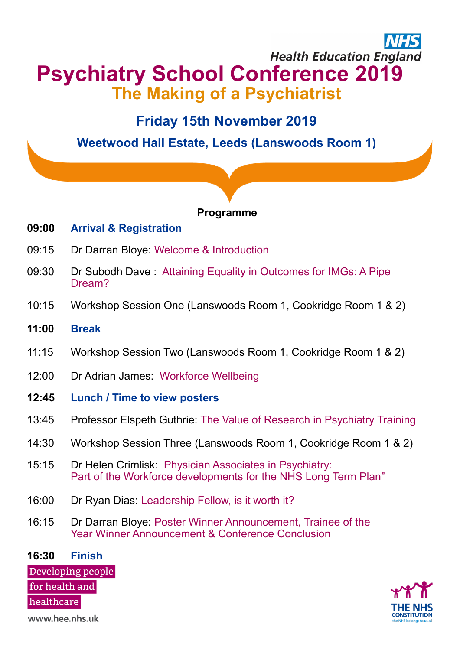## **Health Education England Psychiatry School Conference 2019 The Making of a Psychiatrist**

### **Friday 15th November 2019**

**Weetwood Hall Estate, Leeds (Lanswoods Room 1)**

### **Programme**

### **09:00 Arrival & Registration**

- 09:15 Dr Darran Bloye: Welcome & Introduction
- 09:30 Dr Subodh Dave : Attaining Equality in Outcomes for IMGs: A Pipe Dream?
- 10:15 Workshop Session One (Lanswoods Room 1, Cookridge Room 1 & 2)
- **11:00 Break**
- 11:15 Workshop Session Two (Lanswoods Room 1, Cookridge Room 1 & 2)
- 12:00 Dr Adrian James: Workforce Wellbeing
- **12:45 Lunch / Time to view posters**
- 13:45 Professor Elspeth Guthrie: The Value of Research in Psychiatry Training
- 14:30 Workshop Session Three (Lanswoods Room 1, Cookridge Room 1 & 2)
- 15:15 Dr Helen Crimlisk: Physician Associates in Psychiatry: Part of the Workforce developments for the NHS Long Term Plan"
- 16:00 Dr Ryan Dias: Leadership Fellow, is it worth it?
- 16:15 Dr Darran Bloye: Poster Winner Announcement, Trainee of the Year Winner Announcement & Conference Conclusion

**16:30 Finish**Developing people for health and healthcare



www.hee.nhs.uk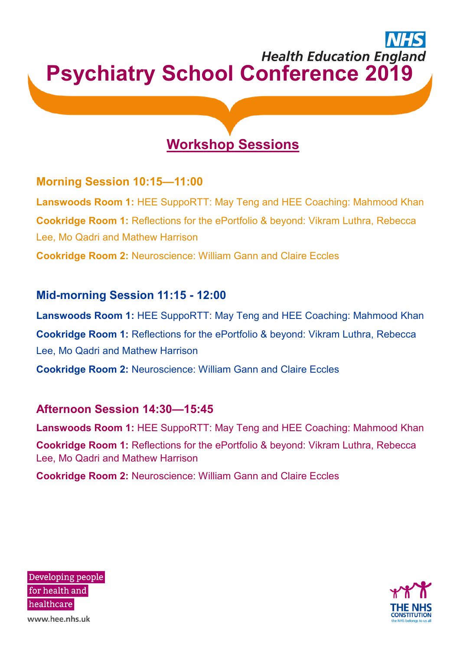# **Health Education England Psychiatry School Conference 2019**

## **Workshop Sessions**

### **Morning Session 10:15—11:00**

**Lanswoods Room 1:** HEE SuppoRTT: May Teng and HEE Coaching: Mahmood Khan **Cookridge Room 1:** Reflections for the ePortfolio & beyond: Vikram Luthra, Rebecca Lee, Mo Qadri and Mathew Harrison **Cookridge Room 2:** Neuroscience: William Gann and Claire Eccles

### **Mid-morning Session 11:15 - 12:00**

**Lanswoods Room 1:** HEE SuppoRTT: May Teng and HEE Coaching: Mahmood Khan **Cookridge Room 1:** Reflections for the ePortfolio & beyond: Vikram Luthra, Rebecca Lee, Mo Qadri and Mathew Harrison

**Cookridge Room 2:** Neuroscience: William Gann and Claire Eccles

### **Afternoon Session 14:30—15:45**

**Lanswoods Room 1:** HEE SuppoRTT: May Teng and HEE Coaching: Mahmood Khan **Cookridge Room 1:** Reflections for the ePortfolio & beyond: Vikram Luthra, Rebecca Lee, Mo Qadri and Mathew Harrison

**Cookridge Room 2:** Neuroscience: William Gann and Claire Eccles

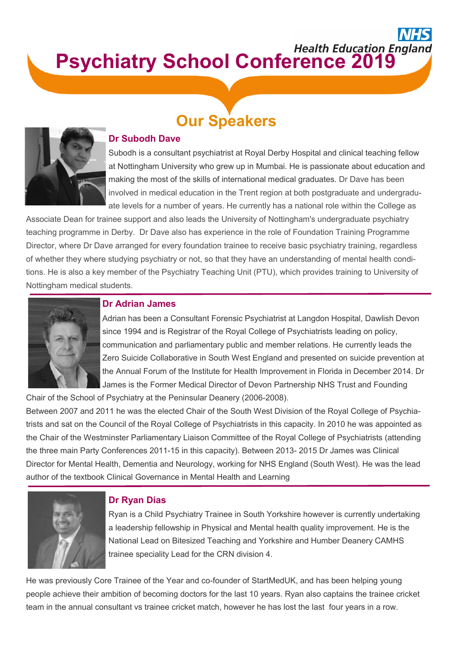# **Psychiatry School Conference 2019**





### **Dr Subodh Dave**

Subodh is a consultant psychiatrist at Royal Derby Hospital and clinical teaching fellow at Nottingham University who grew up in Mumbai. He is passionate about education and making the most of the skills of international medical graduates. Dr Dave has been involved in medical education in the Trent region at both postgraduate and undergraduate levels for a number of years. He currently has a national role within the College as

Associate Dean for trainee support and also leads the University of Nottingham's undergraduate psychiatry teaching programme in Derby. Dr Dave also has experience in the role of Foundation Training Programme Director, where Dr Dave arranged for every foundation trainee to receive basic psychiatry training, regardless of whether they where studying psychiatry or not, so that they have an understanding of mental health conditions. He is also a key member of the Psychiatry Teaching Unit (PTU), which provides training to University of Nottingham medical students.



### **Dr Adrian James**

Adrian has been a Consultant Forensic Psychiatrist at Langdon Hospital, Dawlish Devon since 1994 and is Registrar of the Royal College of Psychiatrists leading on policy, communication and parliamentary public and member relations. He currently leads the Zero Suicide Collaborative in South West England and presented on suicide prevention at the Annual Forum of the Institute for Health Improvement in Florida in December 2014. Dr James is the Former Medical Director of Devon Partnership NHS Trust and Founding

Chair of the School of Psychiatry at the Peninsular Deanery (2006-2008).

Between 2007 and 2011 he was the elected Chair of the South West Division of the Royal College of Psychiatrists and sat on the Council of the Royal College of Psychiatrists in this capacity. In 2010 he was appointed as the Chair of the Westminster Parliamentary Liaison Committee of the Royal College of Psychiatrists (attending the three main Party Conferences 2011-15 in this capacity). Between 2013- 2015 Dr James was Clinical Director for Mental Health, Dementia and Neurology, working for NHS England (South West). He was the lead author of the textbook Clinical Governance in Mental Health and Learning



### **Dr Ryan Dias**

Ryan is a Child Psychiatry Trainee in South Yorkshire however is currently undertaking a leadership fellowship in Physical and Mental health quality improvement. He is the National Lead on Bitesized Teaching and Yorkshire and Humber Deanery CAMHS trainee speciality Lead for the CRN division 4.

He was previously Core Trainee of the Year and co-founder of StartMedUK, and has been helping young people achieve their ambition of becoming doctors for the last 10 years. Ryan also captains the trainee cricket team in the annual consultant vs trainee cricket match, however he has lost the last four years in a row.